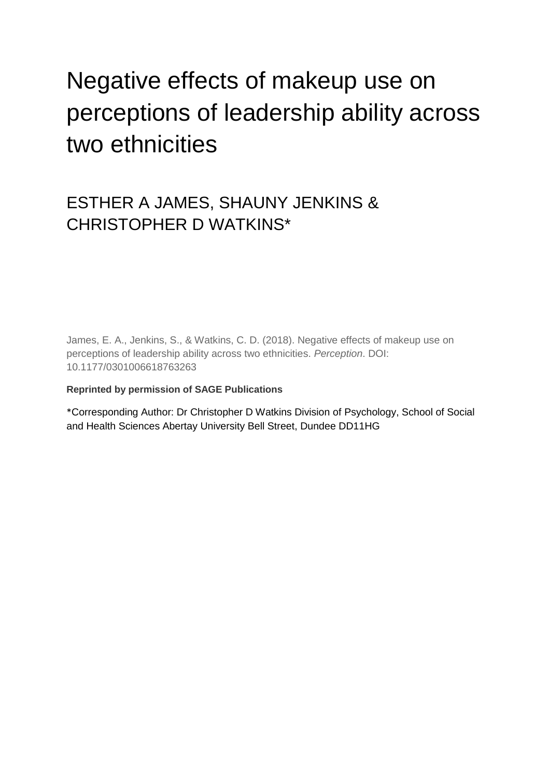# Negative effects of makeup use on perceptions of leadership ability across two ethnicities

# ESTHER A JAMES, SHAUNY JENKINS & CHRISTOPHER D WATKINS\*

James, E. A., Jenkins, S., & Watkins, C. D. (2018). Negative effects of makeup use on perceptions of leadership ability across two ethnicities. *Perception*. DOI: 10.1177/0301006618763263

# **Reprinted by permission of SAGE Publications**

\*Corresponding Author: Dr Christopher D Watkins Division of Psychology, School of Social and Health Sciences Abertay University Bell Street, Dundee DD11HG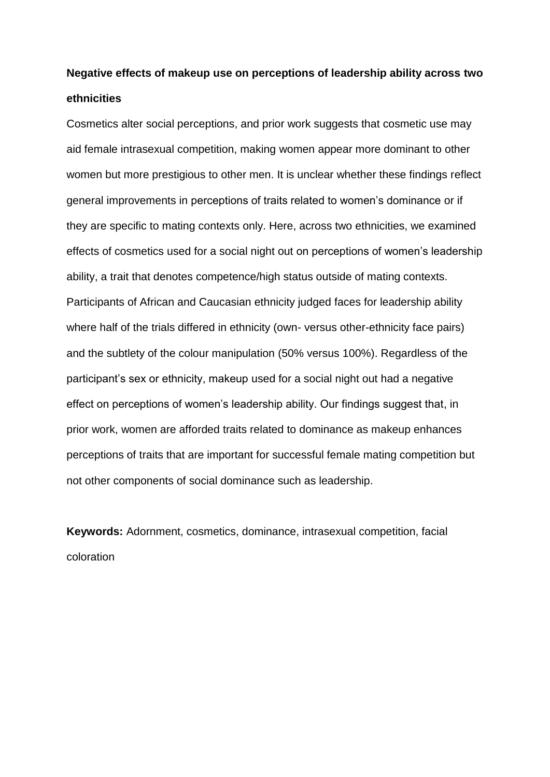# **Negative effects of makeup use on perceptions of leadership ability across two ethnicities**

Cosmetics alter social perceptions, and prior work suggests that cosmetic use may aid female intrasexual competition, making women appear more dominant to other women but more prestigious to other men. It is unclear whether these findings reflect general improvements in perceptions of traits related to women's dominance or if they are specific to mating contexts only. Here, across two ethnicities, we examined effects of cosmetics used for a social night out on perceptions of women's leadership ability, a trait that denotes competence/high status outside of mating contexts. Participants of African and Caucasian ethnicity judged faces for leadership ability where half of the trials differed in ethnicity (own- versus other-ethnicity face pairs) and the subtlety of the colour manipulation (50% versus 100%). Regardless of the participant's sex or ethnicity, makeup used for a social night out had a negative effect on perceptions of women's leadership ability. Our findings suggest that, in prior work, women are afforded traits related to dominance as makeup enhances perceptions of traits that are important for successful female mating competition but not other components of social dominance such as leadership.

**Keywords:** Adornment, cosmetics, dominance, intrasexual competition, facial coloration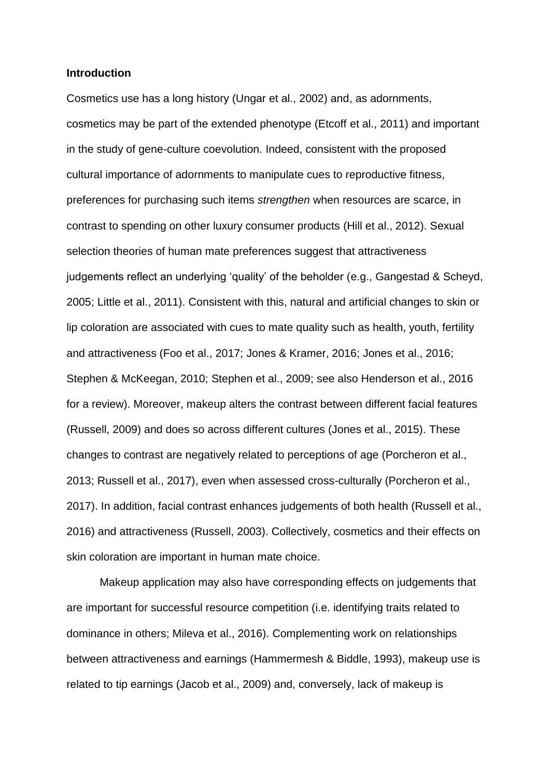#### **Introduction**

Cosmetics use has a long history (Ungar et al., 2002) and, as adornments, cosmetics may be part of the extended phenotype (Etcoff et al., 2011) and important in the study of gene-culture coevolution. Indeed, consistent with the proposed cultural importance of adornments to manipulate cues to reproductive fitness, preferences for purchasing such items *strengthen* when resources are scarce, in contrast to spending on other luxury consumer products (Hill et al., 2012). Sexual selection theories of human mate preferences suggest that attractiveness judgements reflect an underlying 'quality' of the beholder (e.g., Gangestad & Scheyd, 2005; Little et al., 2011). Consistent with this, natural and artificial changes to skin or lip coloration are associated with cues to mate quality such as health, youth, fertility and attractiveness (Foo et al., 2017; Jones & Kramer, 2016; Jones et al., 2016; Stephen & McKeegan, 2010; Stephen et al., 2009; see also Henderson et al., 2016 for a review). Moreover, makeup alters the contrast between different facial features (Russell, 2009) and does so across different cultures (Jones et al., 2015). These changes to contrast are negatively related to perceptions of age (Porcheron et al., 2013; Russell et al., 2017), even when assessed cross-culturally (Porcheron et al., 2017). In addition, facial contrast enhances judgements of both health (Russell et al., 2016) and attractiveness (Russell, 2003). Collectively, cosmetics and their effects on skin coloration are important in human mate choice.

Makeup application may also have corresponding effects on judgements that are important for successful resource competition (i.e. identifying traits related to dominance in others; Mileva et al., 2016). Complementing work on relationships between attractiveness and earnings (Hammermesh & Biddle, 1993), makeup use is related to tip earnings (Jacob et al., 2009) and, conversely, lack of makeup is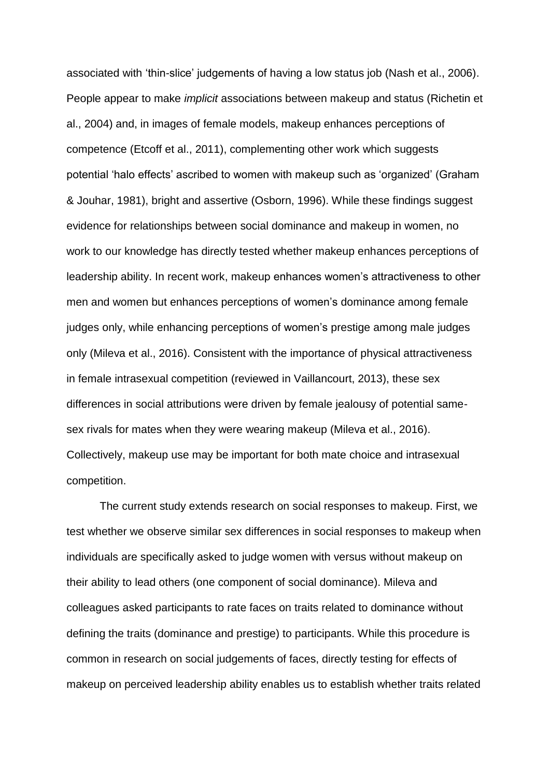associated with 'thin-slice' judgements of having a low status job (Nash et al., 2006). People appear to make *implicit* associations between makeup and status (Richetin et al., 2004) and, in images of female models, makeup enhances perceptions of competence (Etcoff et al., 2011), complementing other work which suggests potential 'halo effects' ascribed to women with makeup such as 'organized' (Graham & Jouhar, 1981), bright and assertive (Osborn, 1996). While these findings suggest evidence for relationships between social dominance and makeup in women, no work to our knowledge has directly tested whether makeup enhances perceptions of leadership ability. In recent work, makeup enhances women's attractiveness to other men and women but enhances perceptions of women's dominance among female judges only, while enhancing perceptions of women's prestige among male judges only (Mileva et al., 2016). Consistent with the importance of physical attractiveness in female intrasexual competition (reviewed in Vaillancourt, 2013), these sex differences in social attributions were driven by female jealousy of potential samesex rivals for mates when they were wearing makeup (Mileva et al., 2016). Collectively, makeup use may be important for both mate choice and intrasexual competition.

The current study extends research on social responses to makeup. First, we test whether we observe similar sex differences in social responses to makeup when individuals are specifically asked to judge women with versus without makeup on their ability to lead others (one component of social dominance). Mileva and colleagues asked participants to rate faces on traits related to dominance without defining the traits (dominance and prestige) to participants. While this procedure is common in research on social judgements of faces, directly testing for effects of makeup on perceived leadership ability enables us to establish whether traits related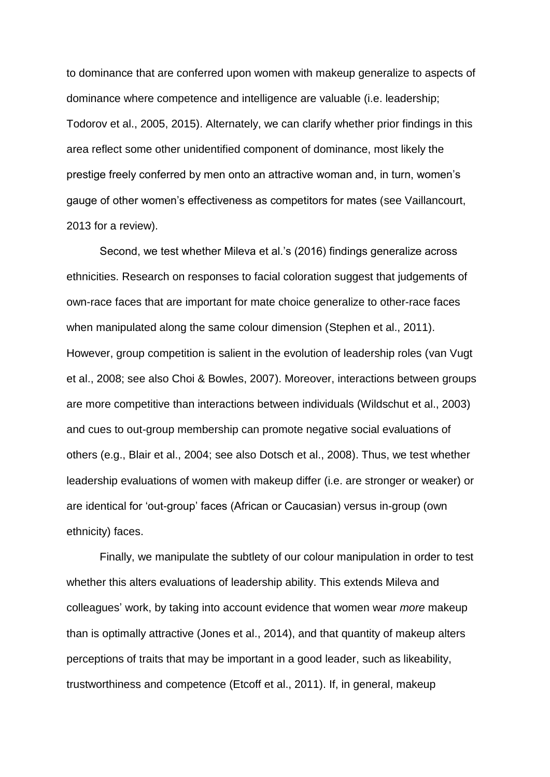to dominance that are conferred upon women with makeup generalize to aspects of dominance where competence and intelligence are valuable (i.e. leadership; Todorov et al., 2005, 2015). Alternately, we can clarify whether prior findings in this area reflect some other unidentified component of dominance, most likely the prestige freely conferred by men onto an attractive woman and, in turn, women's gauge of other women's effectiveness as competitors for mates (see Vaillancourt, 2013 for a review).

Second, we test whether Mileva et al.'s (2016) findings generalize across ethnicities. Research on responses to facial coloration suggest that judgements of own-race faces that are important for mate choice generalize to other-race faces when manipulated along the same colour dimension (Stephen et al., 2011). However, group competition is salient in the evolution of leadership roles (van Vugt et al., 2008; see also Choi & Bowles, 2007). Moreover, interactions between groups are more competitive than interactions between individuals (Wildschut et al., 2003) and cues to out-group membership can promote negative social evaluations of others (e.g., Blair et al., 2004; see also Dotsch et al., 2008). Thus, we test whether leadership evaluations of women with makeup differ (i.e. are stronger or weaker) or are identical for 'out-group' faces (African or Caucasian) versus in-group (own ethnicity) faces.

Finally, we manipulate the subtlety of our colour manipulation in order to test whether this alters evaluations of leadership ability. This extends Mileva and colleagues' work, by taking into account evidence that women wear *more* makeup than is optimally attractive (Jones et al., 2014), and that quantity of makeup alters perceptions of traits that may be important in a good leader, such as likeability, trustworthiness and competence (Etcoff et al., 2011). If, in general, makeup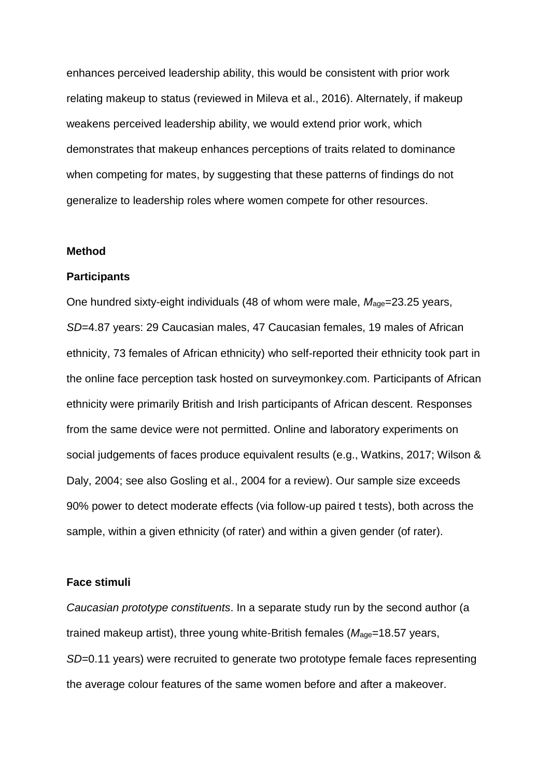enhances perceived leadership ability, this would be consistent with prior work relating makeup to status (reviewed in Mileva et al., 2016). Alternately, if makeup weakens perceived leadership ability, we would extend prior work, which demonstrates that makeup enhances perceptions of traits related to dominance when competing for mates, by suggesting that these patterns of findings do not generalize to leadership roles where women compete for other resources.

#### **Method**

## **Participants**

One hundred sixty-eight individuals (48 of whom were male,  $M_{\text{age}} = 23.25$  years, *SD*=4.87 years: 29 Caucasian males, 47 Caucasian females, 19 males of African ethnicity, 73 females of African ethnicity) who self-reported their ethnicity took part in the online face perception task hosted on surveymonkey.com. Participants of African ethnicity were primarily British and Irish participants of African descent. Responses from the same device were not permitted. Online and laboratory experiments on social judgements of faces produce equivalent results (e.g., Watkins, 2017; Wilson & Daly, 2004; see also Gosling et al., 2004 for a review). Our sample size exceeds 90% power to detect moderate effects (via follow-up paired t tests), both across the sample, within a given ethnicity (of rater) and within a given gender (of rater).

## **Face stimuli**

*Caucasian prototype constituents*. In a separate study run by the second author (a trained makeup artist), three young white-British females ( $M_{\text{age}}$ =18.57 years, *SD*=0.11 years) were recruited to generate two prototype female faces representing the average colour features of the same women before and after a makeover.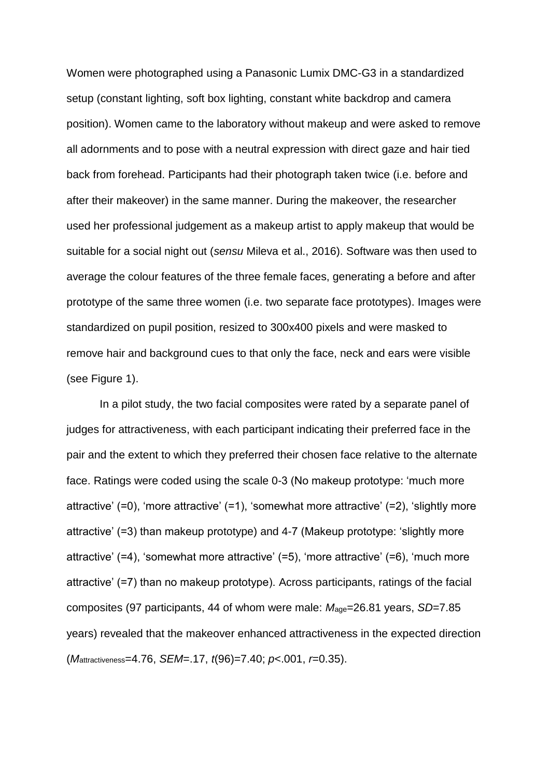Women were photographed using a Panasonic Lumix DMC-G3 in a standardized setup (constant lighting, soft box lighting, constant white backdrop and camera position). Women came to the laboratory without makeup and were asked to remove all adornments and to pose with a neutral expression with direct gaze and hair tied back from forehead. Participants had their photograph taken twice (i.e. before and after their makeover) in the same manner. During the makeover, the researcher used her professional judgement as a makeup artist to apply makeup that would be suitable for a social night out (*sensu* Mileva et al., 2016). Software was then used to average the colour features of the three female faces, generating a before and after prototype of the same three women (i.e. two separate face prototypes). Images were standardized on pupil position, resized to 300x400 pixels and were masked to remove hair and background cues to that only the face, neck and ears were visible (see Figure 1).

In a pilot study, the two facial composites were rated by a separate panel of judges for attractiveness, with each participant indicating their preferred face in the pair and the extent to which they preferred their chosen face relative to the alternate face. Ratings were coded using the scale 0-3 (No makeup prototype: 'much more attractive' (=0), 'more attractive' (=1), 'somewhat more attractive' (=2), 'slightly more attractive' (=3) than makeup prototype) and 4-7 (Makeup prototype: 'slightly more attractive' (=4), 'somewhat more attractive' (=5), 'more attractive' (=6), 'much more attractive' (=7) than no makeup prototype). Across participants, ratings of the facial composites (97 participants, 44 of whom were male: *M*age=26.81 years, *SD*=7.85 years) revealed that the makeover enhanced attractiveness in the expected direction (*M*attractiveness=4.76, *SEM*=.17, *t*(96)=7.40; *p*<.001, *r*=0.35).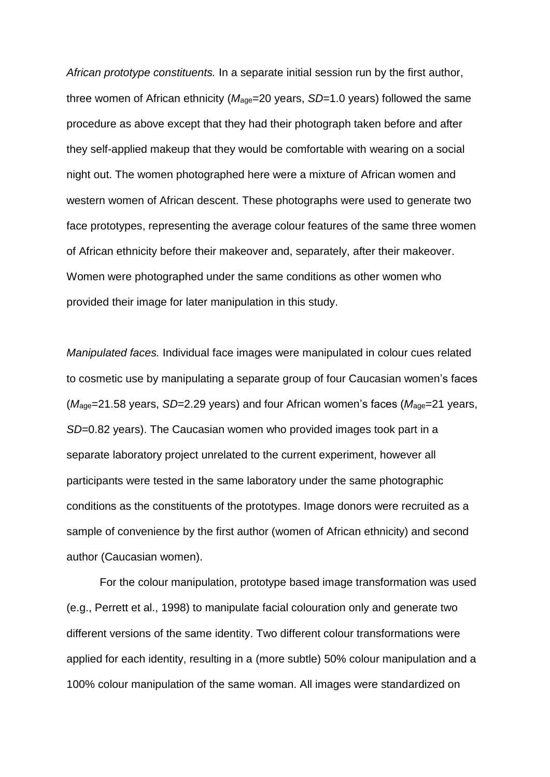*African prototype constituents.* In a separate initial session run by the first author, three women of African ethnicity ( $M_{\text{age}}$ =20 years, *SD*=1.0 years) followed the same procedure as above except that they had their photograph taken before and after they self-applied makeup that they would be comfortable with wearing on a social night out. The women photographed here were a mixture of African women and western women of African descent. These photographs were used to generate two face prototypes, representing the average colour features of the same three women of African ethnicity before their makeover and, separately, after their makeover. Women were photographed under the same conditions as other women who provided their image for later manipulation in this study.

*Manipulated faces.* Individual face images were manipulated in colour cues related to cosmetic use by manipulating a separate group of four Caucasian women's faces (*M*age=21.58 years, *SD*=2.29 years) and four African women's faces (*M*age=21 years, *SD*=0.82 years). The Caucasian women who provided images took part in a separate laboratory project unrelated to the current experiment, however all participants were tested in the same laboratory under the same photographic conditions as the constituents of the prototypes. Image donors were recruited as a sample of convenience by the first author (women of African ethnicity) and second author (Caucasian women).

For the colour manipulation, prototype based image transformation was used (e.g., Perrett et al., 1998) to manipulate facial colouration only and generate two different versions of the same identity. Two different colour transformations were applied for each identity, resulting in a (more subtle) 50% colour manipulation and a 100% colour manipulation of the same woman. All images were standardized on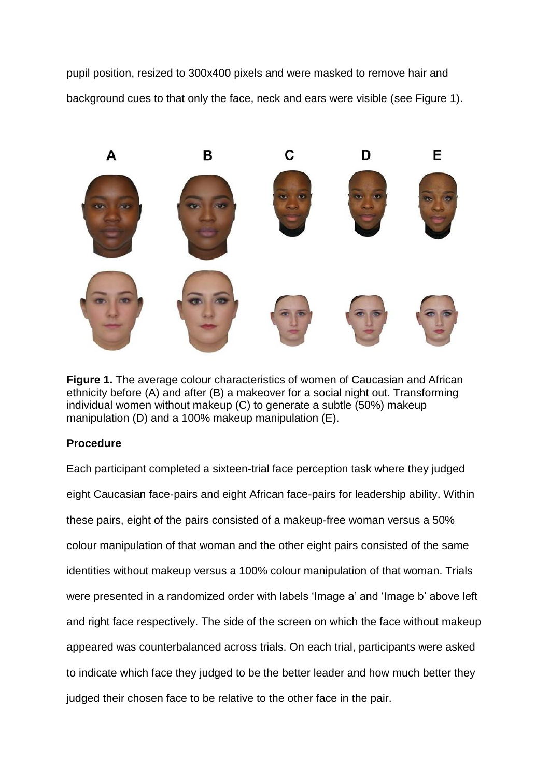pupil position, resized to 300x400 pixels and were masked to remove hair and background cues to that only the face, neck and ears were visible (see Figure 1).



**Figure 1.** The average colour characteristics of women of Caucasian and African ethnicity before (A) and after (B) a makeover for a social night out. Transforming individual women without makeup (C) to generate a subtle (50%) makeup manipulation (D) and a 100% makeup manipulation (E).

# **Procedure**

Each participant completed a sixteen-trial face perception task where they judged eight Caucasian face-pairs and eight African face-pairs for leadership ability. Within these pairs, eight of the pairs consisted of a makeup-free woman versus a 50% colour manipulation of that woman and the other eight pairs consisted of the same identities without makeup versus a 100% colour manipulation of that woman. Trials were presented in a randomized order with labels 'Image a' and 'Image b' above left and right face respectively. The side of the screen on which the face without makeup appeared was counterbalanced across trials. On each trial, participants were asked to indicate which face they judged to be the better leader and how much better they judged their chosen face to be relative to the other face in the pair.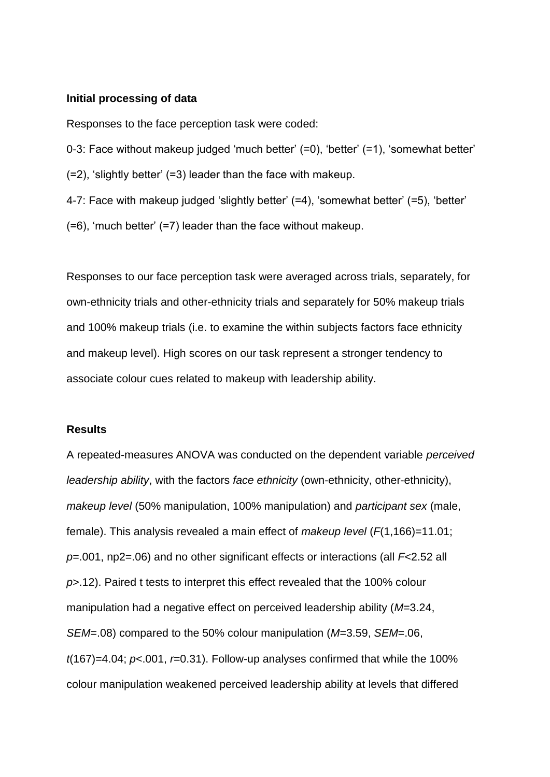#### **Initial processing of data**

Responses to the face perception task were coded:

0-3: Face without makeup judged 'much better' (=0), 'better' (=1), 'somewhat better' (=2), 'slightly better' (=3) leader than the face with makeup.

4-7: Face with makeup judged 'slightly better' (=4), 'somewhat better' (=5), 'better'

(=6), 'much better' (=7) leader than the face without makeup.

Responses to our face perception task were averaged across trials, separately, for own-ethnicity trials and other-ethnicity trials and separately for 50% makeup trials and 100% makeup trials (i.e. to examine the within subjects factors face ethnicity and makeup level). High scores on our task represent a stronger tendency to associate colour cues related to makeup with leadership ability.

## **Results**

A repeated-measures ANOVA was conducted on the dependent variable *perceived leadership ability*, with the factors *face ethnicity* (own-ethnicity, other-ethnicity), *makeup level* (50% manipulation, 100% manipulation) and *participant sex* (male, female). This analysis revealed a main effect of *makeup level* (*F*(1,166)=11.01; *p*=.001, np2=.06) and no other significant effects or interactions (all *F*<2.52 all *p*>.12). Paired t tests to interpret this effect revealed that the 100% colour manipulation had a negative effect on perceived leadership ability (*M*=3.24, *SEM*=.08) compared to the 50% colour manipulation (*M*=3.59, *SEM*=.06, *t*(167)=4.04; *p*<.001, *r*=0.31). Follow-up analyses confirmed that while the 100% colour manipulation weakened perceived leadership ability at levels that differed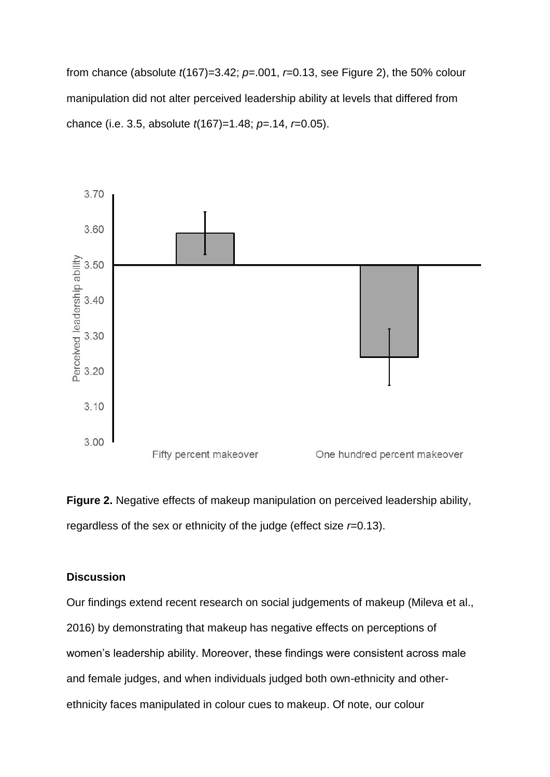from chance (absolute *t*(167)=3.42; *p*=.001, *r*=0.13, see Figure 2), the 50% colour manipulation did not alter perceived leadership ability at levels that differed from chance (i.e. 3.5, absolute *t*(167)=1.48; *p*=.14, *r*=0.05).





# **Discussion**

Our findings extend recent research on social judgements of makeup (Mileva et al., 2016) by demonstrating that makeup has negative effects on perceptions of women's leadership ability. Moreover, these findings were consistent across male and female judges, and when individuals judged both own-ethnicity and otherethnicity faces manipulated in colour cues to makeup. Of note, our colour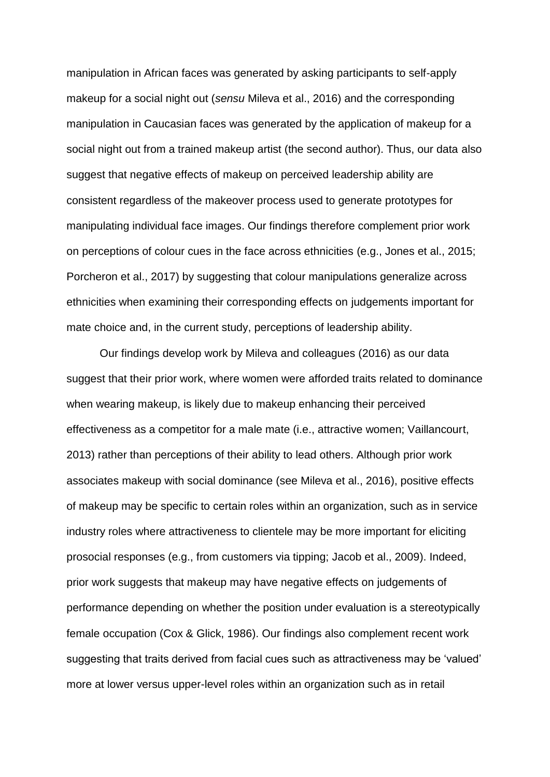manipulation in African faces was generated by asking participants to self-apply makeup for a social night out (*sensu* Mileva et al., 2016) and the corresponding manipulation in Caucasian faces was generated by the application of makeup for a social night out from a trained makeup artist (the second author). Thus, our data also suggest that negative effects of makeup on perceived leadership ability are consistent regardless of the makeover process used to generate prototypes for manipulating individual face images. Our findings therefore complement prior work on perceptions of colour cues in the face across ethnicities (e.g., Jones et al., 2015; Porcheron et al., 2017) by suggesting that colour manipulations generalize across ethnicities when examining their corresponding effects on judgements important for mate choice and, in the current study, perceptions of leadership ability.

Our findings develop work by Mileva and colleagues (2016) as our data suggest that their prior work, where women were afforded traits related to dominance when wearing makeup, is likely due to makeup enhancing their perceived effectiveness as a competitor for a male mate (i.e., attractive women; Vaillancourt, 2013) rather than perceptions of their ability to lead others. Although prior work associates makeup with social dominance (see Mileva et al., 2016), positive effects of makeup may be specific to certain roles within an organization, such as in service industry roles where attractiveness to clientele may be more important for eliciting prosocial responses (e.g., from customers via tipping; Jacob et al., 2009). Indeed, prior work suggests that makeup may have negative effects on judgements of performance depending on whether the position under evaluation is a stereotypically female occupation (Cox & Glick, 1986). Our findings also complement recent work suggesting that traits derived from facial cues such as attractiveness may be 'valued' more at lower versus upper-level roles within an organization such as in retail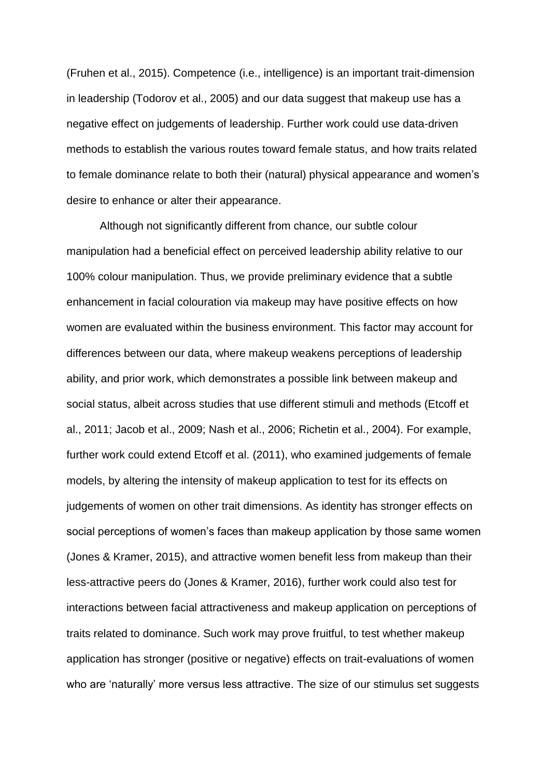(Fruhen et al., 2015). Competence (i.e., intelligence) is an important trait-dimension in leadership (Todorov et al., 2005) and our data suggest that makeup use has a negative effect on judgements of leadership. Further work could use data-driven methods to establish the various routes toward female status, and how traits related to female dominance relate to both their (natural) physical appearance and women's desire to enhance or alter their appearance.

Although not significantly different from chance, our subtle colour manipulation had a beneficial effect on perceived leadership ability relative to our 100% colour manipulation. Thus, we provide preliminary evidence that a subtle enhancement in facial colouration via makeup may have positive effects on how women are evaluated within the business environment. This factor may account for differences between our data, where makeup weakens perceptions of leadership ability, and prior work, which demonstrates a possible link between makeup and social status, albeit across studies that use different stimuli and methods (Etcoff et al., 2011; Jacob et al., 2009; Nash et al., 2006; Richetin et al., 2004). For example, further work could extend Etcoff et al. (2011), who examined judgements of female models, by altering the intensity of makeup application to test for its effects on judgements of women on other trait dimensions. As identity has stronger effects on social perceptions of women's faces than makeup application by those same women (Jones & Kramer, 2015), and attractive women benefit less from makeup than their less-attractive peers do (Jones & Kramer, 2016), further work could also test for interactions between facial attractiveness and makeup application on perceptions of traits related to dominance. Such work may prove fruitful, to test whether makeup application has stronger (positive or negative) effects on trait-evaluations of women who are 'naturally' more versus less attractive. The size of our stimulus set suggests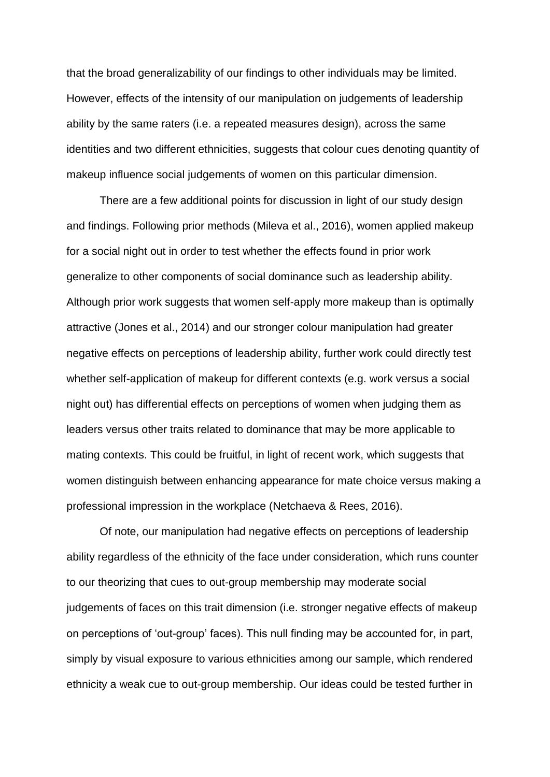that the broad generalizability of our findings to other individuals may be limited. However, effects of the intensity of our manipulation on judgements of leadership ability by the same raters (i.e. a repeated measures design), across the same identities and two different ethnicities, suggests that colour cues denoting quantity of makeup influence social judgements of women on this particular dimension.

There are a few additional points for discussion in light of our study design and findings. Following prior methods (Mileva et al., 2016), women applied makeup for a social night out in order to test whether the effects found in prior work generalize to other components of social dominance such as leadership ability. Although prior work suggests that women self-apply more makeup than is optimally attractive (Jones et al., 2014) and our stronger colour manipulation had greater negative effects on perceptions of leadership ability, further work could directly test whether self-application of makeup for different contexts (e.g. work versus a social night out) has differential effects on perceptions of women when judging them as leaders versus other traits related to dominance that may be more applicable to mating contexts. This could be fruitful, in light of recent work, which suggests that women distinguish between enhancing appearance for mate choice versus making a professional impression in the workplace (Netchaeva & Rees, 2016).

Of note, our manipulation had negative effects on perceptions of leadership ability regardless of the ethnicity of the face under consideration, which runs counter to our theorizing that cues to out-group membership may moderate social judgements of faces on this trait dimension (i.e. stronger negative effects of makeup on perceptions of 'out-group' faces). This null finding may be accounted for, in part, simply by visual exposure to various ethnicities among our sample, which rendered ethnicity a weak cue to out-group membership. Our ideas could be tested further in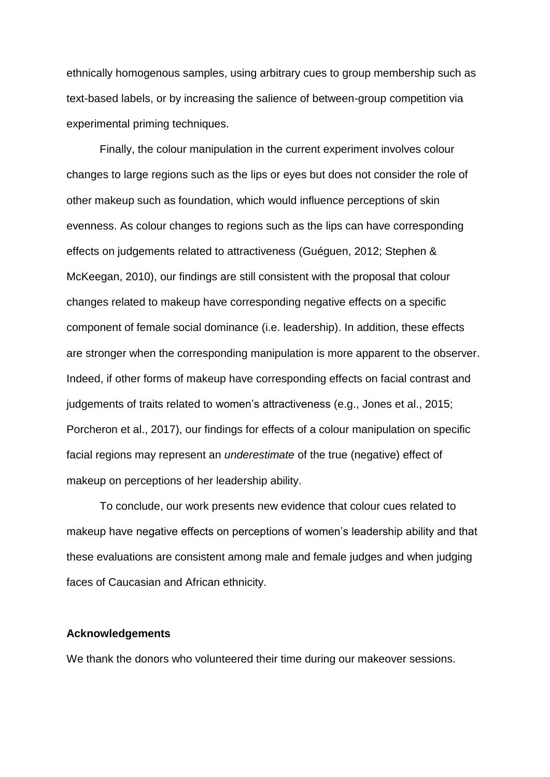ethnically homogenous samples, using arbitrary cues to group membership such as text-based labels, or by increasing the salience of between-group competition via experimental priming techniques.

Finally, the colour manipulation in the current experiment involves colour changes to large regions such as the lips or eyes but does not consider the role of other makeup such as foundation, which would influence perceptions of skin evenness. As colour changes to regions such as the lips can have corresponding effects on judgements related to attractiveness (Guéguen, 2012; Stephen & McKeegan, 2010), our findings are still consistent with the proposal that colour changes related to makeup have corresponding negative effects on a specific component of female social dominance (i.e. leadership). In addition, these effects are stronger when the corresponding manipulation is more apparent to the observer. Indeed, if other forms of makeup have corresponding effects on facial contrast and judgements of traits related to women's attractiveness (e.g., Jones et al., 2015; Porcheron et al., 2017), our findings for effects of a colour manipulation on specific facial regions may represent an *underestimate* of the true (negative) effect of makeup on perceptions of her leadership ability.

To conclude, our work presents new evidence that colour cues related to makeup have negative effects on perceptions of women's leadership ability and that these evaluations are consistent among male and female judges and when judging faces of Caucasian and African ethnicity.

## **Acknowledgements**

We thank the donors who volunteered their time during our makeover sessions.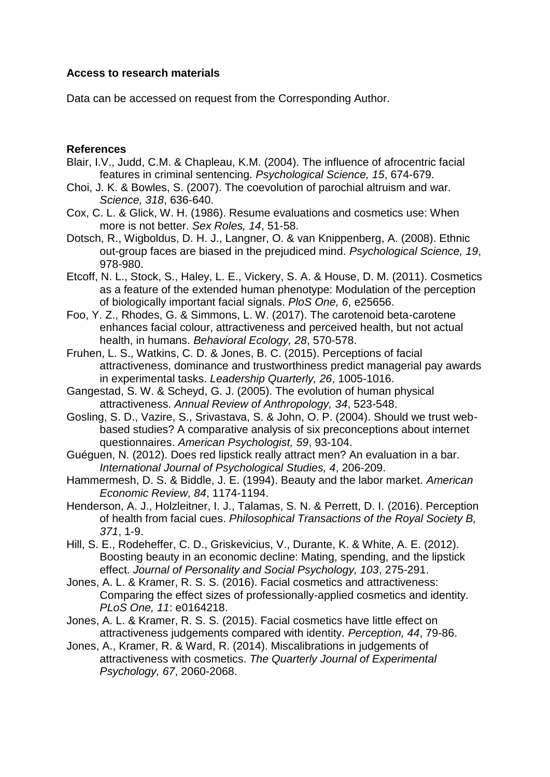# **Access to research materials**

Data can be accessed on request from the Corresponding Author.

# **References**

- Blair, I.V., Judd, C.M. & Chapleau, K.M. (2004). The influence of afrocentric facial features in criminal sentencing. *Psychological Science, 15*, 674-679.
- Choi, J. K. & Bowles, S. (2007). The coevolution of parochial altruism and war. *Science, 318*, 636-640.
- Cox, C. L. & Glick, W. H. (1986). Resume evaluations and cosmetics use: When more is not better. *Sex Roles, 14*, 51-58.
- Dotsch, R., Wigboldus, D. H. J., Langner, O. & van Knippenberg, A. (2008). Ethnic out-group faces are biased in the prejudiced mind. *Psychological Science, 19*, 978-980.
- Etcoff, N. L., Stock, S., Haley, L. E., Vickery, S. A. & House, D. M. (2011). Cosmetics as a feature of the extended human phenotype: Modulation of the perception of biologically important facial signals. *PloS One, 6*, e25656.
- Foo, Y. Z., Rhodes, G. & Simmons, L. W. (2017). The carotenoid beta-carotene enhances facial colour, attractiveness and perceived health, but not actual health, in humans. *Behavioral Ecology, 28*, 570-578.
- Fruhen, L. S., Watkins, C. D. & Jones, B. C. (2015). Perceptions of facial attractiveness, dominance and trustworthiness predict managerial pay awards in experimental tasks. *Leadership Quarterly, 26*, 1005-1016.
- Gangestad, S. W. & Scheyd, G. J. (2005). The evolution of human physical attractiveness. *Annual Review of Anthropology, 34*, 523-548.
- Gosling, S. D., Vazire, S., Srivastava, S. & John, O. P. (2004). Should we trust webbased studies? A comparative analysis of six preconceptions about internet questionnaires. *American Psychologist, 59*, 93-104.
- Guéguen, N. (2012). Does red lipstick really attract men? An evaluation in a bar. *International Journal of Psychological Studies, 4*, 206-209.
- Hammermesh, D. S. & Biddle, J. E. (1994). Beauty and the labor market. *American Economic Review, 84*, 1174-1194.
- Henderson, A. J., Holzleitner, I. J., Talamas, S. N. & Perrett, D. I. (2016). Perception of health from facial cues. *Philosophical Transactions of the Royal Society B, 371*, 1-9.
- Hill, S. E., Rodeheffer, C. D., Griskevicius, V., Durante, K. & White, A. E. (2012). Boosting beauty in an economic decline: Mating, spending, and the lipstick effect. *Journal of Personality and Social Psychology, 103*, 275-291.
- Jones, A. L. & Kramer, R. S. S. (2016). Facial cosmetics and attractiveness: Comparing the effect sizes of professionally-applied cosmetics and identity. *PLoS One, 11*: e0164218.
- Jones, A. L. & Kramer, R. S. S. (2015). Facial cosmetics have little effect on attractiveness judgements compared with identity. *Perception, 44*, 79-86.
- Jones, A., Kramer, R. & Ward, R. (2014). Miscalibrations in judgements of attractiveness with cosmetics. *The Quarterly Journal of Experimental Psychology, 67*, 2060-2068.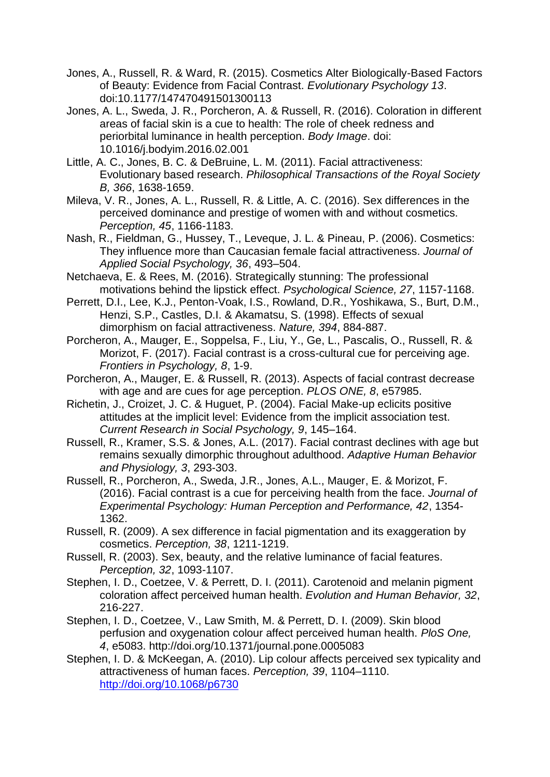- Jones, A., Russell, R. & Ward, R. (2015). Cosmetics Alter Biologically-Based Factors of Beauty: Evidence from Facial Contrast. *Evolutionary Psychology 13*. doi:10.1177/147470491501300113
- Jones, A. L., Sweda, J. R., Porcheron, A. & Russell, R. (2016). Coloration in different areas of facial skin is a cue to health: The role of cheek redness and periorbital luminance in health perception. *Body Image*. doi: 10.1016/j.bodyim.2016.02.001
- Little, A. C., Jones, B. C. & DeBruine, L. M. (2011). Facial attractiveness: Evolutionary based research. *Philosophical Transactions of the Royal Society B, 366*, 1638-1659.
- Mileva, V. R., Jones, A. L., Russell, R. & Little, A. C. (2016). Sex differences in the perceived dominance and prestige of women with and without cosmetics. *Perception, 45*, 1166-1183.
- Nash, R., Fieldman, G., Hussey, T., Leveque, J. L. & Pineau, P. (2006). Cosmetics: They influence more than Caucasian female facial attractiveness. *Journal of Applied Social Psychology, 36*, 493–504.
- Netchaeva, E. & Rees, M. (2016). Strategically stunning: The professional motivations behind the lipstick effect. *Psychological Science, 27*, 1157-1168.
- Perrett, D.I., Lee, K.J., Penton-Voak, I.S., Rowland, D.R., Yoshikawa, S., Burt, D.M., Henzi, S.P., Castles, D.I. & Akamatsu, S. (1998). Effects of sexual dimorphism on facial attractiveness. *Nature, 394*, 884-887.
- Porcheron, A., Mauger, E., Soppelsa, F., Liu, Y., Ge, L., Pascalis, O., Russell, R. & Morizot, F. (2017). Facial contrast is a cross-cultural cue for perceiving age. *Frontiers in Psychology, 8*, 1-9.
- Porcheron, A., Mauger, E. & Russell, R. (2013). Aspects of facial contrast decrease with age and are cues for age perception. *PLOS ONE, 8*, e57985.
- Richetin, J., Croizet, J. C. & Huguet, P. (2004). Facial Make-up eclicits positive attitudes at the implicit level: Evidence from the implicit association test. *Current Research in Social Psychology, 9*, 145–164.
- Russell, R., Kramer, S.S. & Jones, A.L. (2017). Facial contrast declines with age but remains sexually dimorphic throughout adulthood. *Adaptive Human Behavior and Physiology, 3*, 293-303.
- Russell, R., Porcheron, A., Sweda, J.R., Jones, A.L., Mauger, E. & Morizot, F. (2016). Facial contrast is a cue for perceiving health from the face. *Journal of Experimental Psychology: Human Perception and Performance, 42*, 1354- 1362.
- Russell, R. (2009). A sex difference in facial pigmentation and its exaggeration by cosmetics. *Perception, 38*, 1211-1219.
- Russell, R. (2003). Sex, beauty, and the relative luminance of facial features. *Perception, 32*, 1093-1107.
- Stephen, I. D., Coetzee, V. & Perrett, D. I. (2011). Carotenoid and melanin pigment coloration affect perceived human health. *Evolution and Human Behavior, 32*, 216-227.
- Stephen, I. D., Coetzee, V., Law Smith, M. & Perrett, D. I. (2009). Skin blood perfusion and oxygenation colour affect perceived human health. *PloS One, 4*, e5083. http://doi.org/10.1371/journal.pone.0005083
- Stephen, I. D. & McKeegan, A. (2010). Lip colour affects perceived sex typicality and attractiveness of human faces. *Perception, 39*, 1104–1110. <http://doi.org/10.1068/p6730>